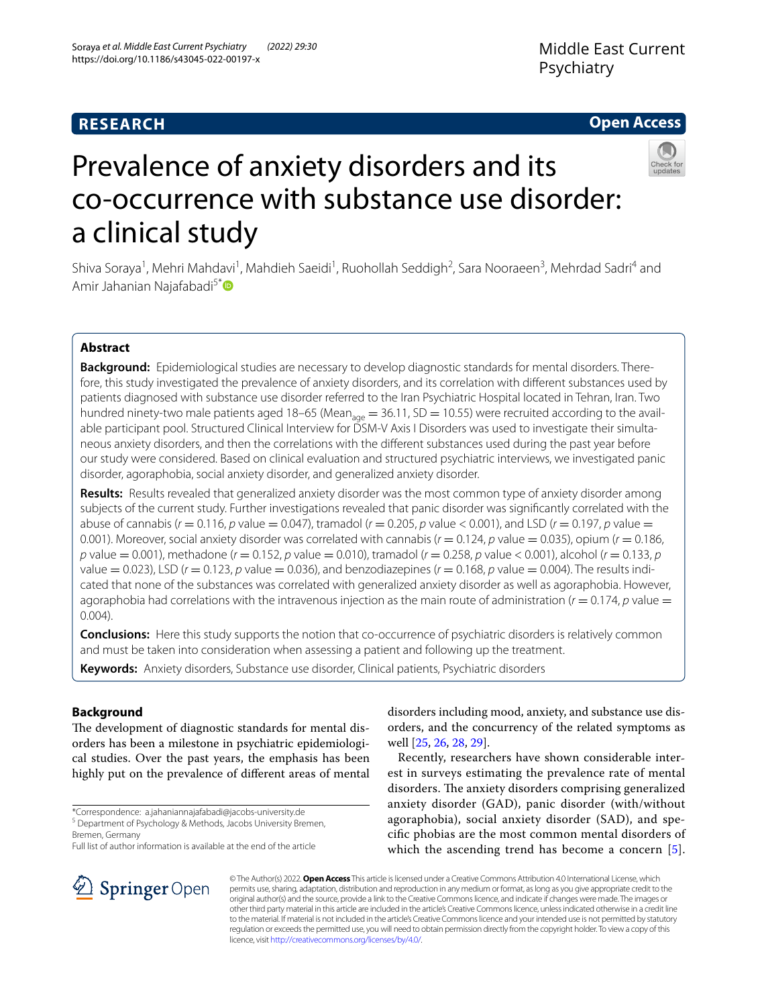## **RESEARCH**

## **Open Access**



# Prevalence of anxiety disorders and its co-occurrence with substance use disorder: a clinical study

Shiva Soraya<sup>1</sup>, Mehri Mahdavi<sup>1</sup>, Mahdieh Saeidi<sup>1</sup>, Ruohollah Seddigh<sup>2</sup>, Sara Nooraeen<sup>3</sup>, Mehrdad Sadri<sup>4</sup> and Amir Jahanian Najafabadi<sup>5[\\*](http://orcid.org/0000-0002-9246-5141)</sup>

## **Abstract**

**Background:** Epidemiological studies are necessary to develop diagnostic standards for mental disorders. Therefore, this study investigated the prevalence of anxiety disorders, and its correlation with diferent substances used by patients diagnosed with substance use disorder referred to the Iran Psychiatric Hospital located in Tehran, Iran. Two hundred ninety-two male patients aged 18–65 (Mean<sub>age</sub> = 36.11, SD = 10.55) were recruited according to the available participant pool. Structured Clinical Interview for DSM-V Axis I Disorders was used to investigate their simultaneous anxiety disorders, and then the correlations with the diferent substances used during the past year before our study were considered. Based on clinical evaluation and structured psychiatric interviews, we investigated panic disorder, agoraphobia, social anxiety disorder, and generalized anxiety disorder.

**Results:** Results revealed that generalized anxiety disorder was the most common type of anxiety disorder among subjects of the current study. Further investigations revealed that panic disorder was signifcantly correlated with the abuse of cannabis ( $r = 0.116$ ,  $p$  value  $= 0.047$ ), tramadol ( $r = 0.205$ ,  $p$  value  $< 0.001$ ), and LSD ( $r = 0.197$ ,  $p$  value  $=$ 0.001). Moreover, social anxiety disorder was correlated with cannabis (*r* = 0.124, *p* value = 0.035), opium (*r* = 0.186, *p* value = 0.001), methadone (*r* = 0.152, *p* value = 0.010), tramadol (*r* = 0.258, *p* value < 0.001), alcohol (*r* = 0.133, *p* value  $= 0.023$ ), LSD ( $r = 0.123$ ,  $p$  value  $= 0.036$ ), and benzodiazepines ( $r = 0.168$ ,  $p$  value  $= 0.004$ ). The results indicated that none of the substances was correlated with generalized anxiety disorder as well as agoraphobia. However, agoraphobia had correlations with the intravenous injection as the main route of administration  $(r = 0.174, p$  value  $=$ 0.004).

**Conclusions:** Here this study supports the notion that co-occurrence of psychiatric disorders is relatively common and must be taken into consideration when assessing a patient and following up the treatment.

**Keywords:** Anxiety disorders, Substance use disorder, Clinical patients, Psychiatric disorders

## **Background**

The development of diagnostic standards for mental disorders has been a milestone in psychiatric epidemiological studies. Over the past years, the emphasis has been highly put on the prevalence of diferent areas of mental

\*Correspondence: a.jahaniannajafabadi@jacobs-university.de

<sup>5</sup> Department of Psychology & Methods, Jacobs University Bremen, Bremen, Germany

Full list of author information is available at the end of the article



Recently, researchers have shown considerable interest in surveys estimating the prevalence rate of mental disorders. The anxiety disorders comprising generalized anxiety disorder (GAD), panic disorder (with/without agoraphobia), social anxiety disorder (SAD), and specifc phobias are the most common mental disorders of which the ascending trend has become a concern [[5](#page-7-4)].



© The Author(s) 2022. **Open Access** This article is licensed under a Creative Commons Attribution 4.0 International License, which permits use, sharing, adaptation, distribution and reproduction in any medium or format, as long as you give appropriate credit to the original author(s) and the source, provide a link to the Creative Commons licence, and indicate if changes were made. The images or other third party material in this article are included in the article's Creative Commons licence, unless indicated otherwise in a credit line to the material. If material is not included in the article's Creative Commons licence and your intended use is not permitted by statutory regulation or exceeds the permitted use, you will need to obtain permission directly from the copyright holder. To view a copy of this licence, visit [http://creativecommons.org/licenses/by/4.0/.](http://creativecommons.org/licenses/by/4.0/)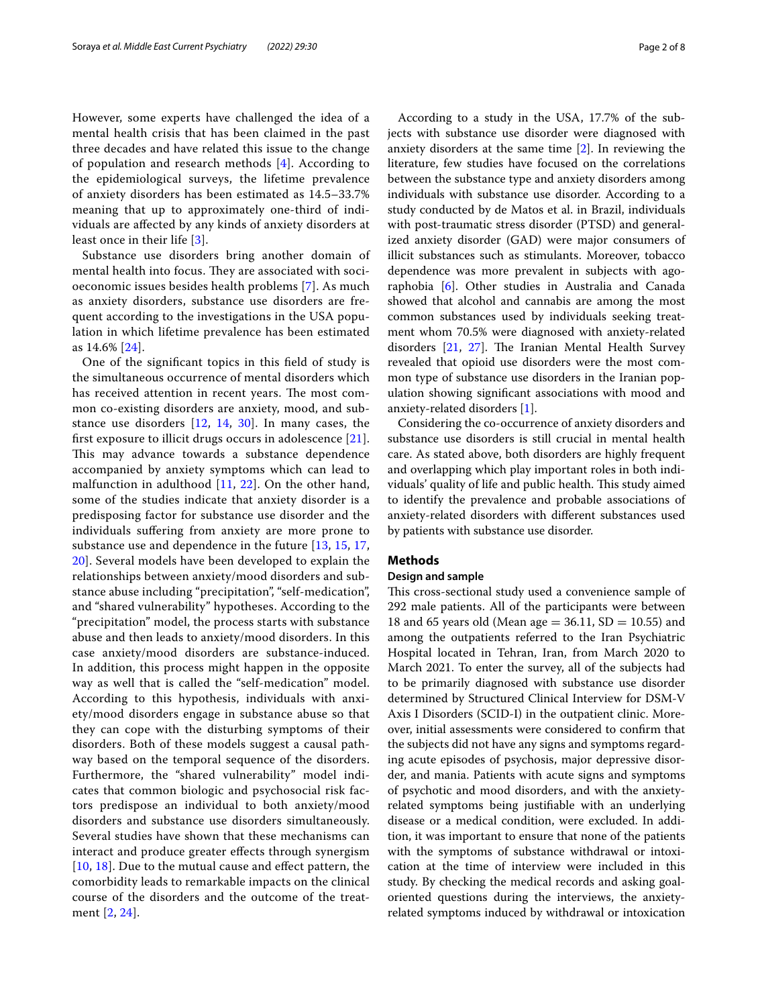However, some experts have challenged the idea of a mental health crisis that has been claimed in the past three decades and have related this issue to the change of population and research methods [\[4](#page-6-0)]. According to the epidemiological surveys, the lifetime prevalence of anxiety disorders has been estimated as 14.5–33.7% meaning that up to approximately one-third of individuals are afected by any kinds of anxiety disorders at least once in their life [[3](#page-6-1)].

Substance use disorders bring another domain of mental health into focus. They are associated with socioeconomic issues besides health problems [[7](#page-7-5)]. As much as anxiety disorders, substance use disorders are frequent according to the investigations in the USA population in which lifetime prevalence has been estimated as 14.6% [[24](#page-7-6)].

One of the signifcant topics in this feld of study is the simultaneous occurrence of mental disorders which has received attention in recent years. The most common co-existing disorders are anxiety, mood, and substance use disorders [\[12](#page-7-7), [14](#page-7-8), [30](#page-7-9)]. In many cases, the frst exposure to illicit drugs occurs in adolescence [[21](#page-7-10)]. This may advance towards a substance dependence accompanied by anxiety symptoms which can lead to malfunction in adulthood [[11](#page-7-11), [22\]](#page-7-12). On the other hand, some of the studies indicate that anxiety disorder is a predisposing factor for substance use disorder and the individuals sufering from anxiety are more prone to substance use and dependence in the future [[13](#page-7-13), [15](#page-7-14), [17](#page-7-15), [20\]](#page-7-16). Several models have been developed to explain the relationships between anxiety/mood disorders and substance abuse including "precipitation", "self-medication", and "shared vulnerability" hypotheses. According to the "precipitation" model, the process starts with substance abuse and then leads to anxiety/mood disorders. In this case anxiety/mood disorders are substance-induced. In addition, this process might happen in the opposite way as well that is called the "self-medication" model. According to this hypothesis, individuals with anxiety/mood disorders engage in substance abuse so that they can cope with the disturbing symptoms of their disorders. Both of these models suggest a causal pathway based on the temporal sequence of the disorders. Furthermore, the "shared vulnerability" model indicates that common biologic and psychosocial risk factors predispose an individual to both anxiety/mood disorders and substance use disorders simultaneously. Several studies have shown that these mechanisms can interact and produce greater efects through synergism [[10](#page-7-17), [18](#page-7-18)]. Due to the mutual cause and effect pattern, the comorbidity leads to remarkable impacts on the clinical course of the disorders and the outcome of the treatment [\[2](#page-6-2), [24](#page-7-6)].

According to a study in the USA, 17.7% of the subjects with substance use disorder were diagnosed with anxiety disorders at the same time [\[2](#page-6-2)]. In reviewing the literature, few studies have focused on the correlations between the substance type and anxiety disorders among individuals with substance use disorder. According to a study conducted by de Matos et al. in Brazil, individuals with post-traumatic stress disorder (PTSD) and generalized anxiety disorder (GAD) were major consumers of illicit substances such as stimulants. Moreover, tobacco dependence was more prevalent in subjects with agoraphobia [[6\]](#page-7-19). Other studies in Australia and Canada showed that alcohol and cannabis are among the most common substances used by individuals seeking treatment whom 70.5% were diagnosed with anxiety-related disorders  $[21, 27]$  $[21, 27]$  $[21, 27]$  $[21, 27]$ . The Iranian Mental Health Survey revealed that opioid use disorders were the most common type of substance use disorders in the Iranian population showing signifcant associations with mood and anxiety-related disorders [[1\]](#page-6-3).

Considering the co-occurrence of anxiety disorders and substance use disorders is still crucial in mental health care. As stated above, both disorders are highly frequent and overlapping which play important roles in both individuals' quality of life and public health. This study aimed to identify the prevalence and probable associations of anxiety-related disorders with diferent substances used by patients with substance use disorder.

## **Methods**

#### **Design and sample**

This cross-sectional study used a convenience sample of 292 male patients. All of the participants were between 18 and 65 years old (Mean age =  $36.11$ , SD =  $10.55$ ) and among the outpatients referred to the Iran Psychiatric Hospital located in Tehran, Iran, from March 2020 to March 2021. To enter the survey, all of the subjects had to be primarily diagnosed with substance use disorder determined by Structured Clinical Interview for DSM-V Axis I Disorders (SCID-I) in the outpatient clinic. Moreover, initial assessments were considered to confrm that the subjects did not have any signs and symptoms regarding acute episodes of psychosis, major depressive disorder, and mania. Patients with acute signs and symptoms of psychotic and mood disorders, and with the anxietyrelated symptoms being justifable with an underlying disease or a medical condition, were excluded. In addition, it was important to ensure that none of the patients with the symptoms of substance withdrawal or intoxication at the time of interview were included in this study. By checking the medical records and asking goaloriented questions during the interviews, the anxietyrelated symptoms induced by withdrawal or intoxication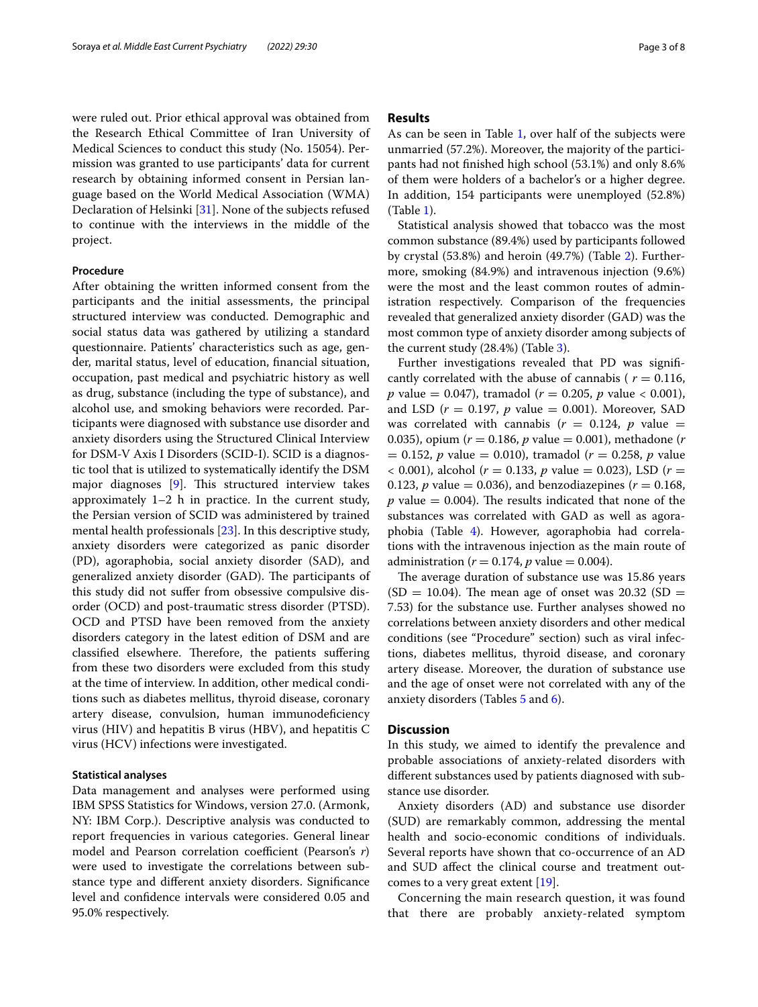were ruled out. Prior ethical approval was obtained from the Research Ethical Committee of Iran University of Medical Sciences to conduct this study (No. 15054). Permission was granted to use participants' data for current research by obtaining informed consent in Persian language based on the World Medical Association (WMA) Declaration of Helsinki [[31\]](#page-7-21). None of the subjects refused to continue with the interviews in the middle of the project.

#### **Procedure**

After obtaining the written informed consent from the participants and the initial assessments, the principal structured interview was conducted. Demographic and social status data was gathered by utilizing a standard questionnaire. Patients' characteristics such as age, gender, marital status, level of education, fnancial situation, occupation, past medical and psychiatric history as well as drug, substance (including the type of substance), and alcohol use, and smoking behaviors were recorded. Participants were diagnosed with substance use disorder and anxiety disorders using the Structured Clinical Interview for DSM-V Axis I Disorders (SCID-I). SCID is a diagnostic tool that is utilized to systematically identify the DSM major diagnoses  $[9]$  $[9]$ . This structured interview takes approximately 1–2 h in practice. In the current study, the Persian version of SCID was administered by trained mental health professionals [[23\]](#page-7-23). In this descriptive study, anxiety disorders were categorized as panic disorder (PD), agoraphobia, social anxiety disorder (SAD), and generalized anxiety disorder (GAD). The participants of this study did not sufer from obsessive compulsive disorder (OCD) and post-traumatic stress disorder (PTSD). OCD and PTSD have been removed from the anxiety disorders category in the latest edition of DSM and are classified elsewhere. Therefore, the patients suffering from these two disorders were excluded from this study at the time of interview. In addition, other medical conditions such as diabetes mellitus, thyroid disease, coronary artery disease, convulsion, human immunodefciency virus (HIV) and hepatitis B virus (HBV), and hepatitis C virus (HCV) infections were investigated.

## **Statistical analyses**

Data management and analyses were performed using IBM SPSS Statistics for Windows, version 27.0. (Armonk, NY: IBM Corp.). Descriptive analysis was conducted to report frequencies in various categories. General linear model and Pearson correlation coefficient (Pearson's r) were used to investigate the correlations between substance type and diferent anxiety disorders. Signifcance level and confdence intervals were considered 0.05 and 95.0% respectively.

### **Results**

As can be seen in Table [1](#page-3-0), over half of the subjects were unmarried (57.2%). Moreover, the majority of the participants had not fnished high school (53.1%) and only 8.6% of them were holders of a bachelor's or a higher degree. In addition, 154 participants were unemployed (52.8%) (Table [1\)](#page-3-0).

Statistical analysis showed that tobacco was the most common substance (89.4%) used by participants followed by crystal (53.8%) and heroin (49.7%) (Table [2\)](#page-4-0). Furthermore, smoking (84.9%) and intravenous injection (9.6%) were the most and the least common routes of administration respectively. Comparison of the frequencies revealed that generalized anxiety disorder (GAD) was the most common type of anxiety disorder among subjects of the current study (28.4%) (Table [3](#page-4-1)).

Further investigations revealed that PD was signifcantly correlated with the abuse of cannabis ( $r = 0.116$ , *p* value = 0.047), tramadol (*r* = 0.205, *p* value < 0.001), and LSD  $(r = 0.197, p$  value = 0.001). Moreover, SAD was correlated with cannabis  $(r = 0.124, p$  value = 0.035), opium (*r* = 0.186, *p* value = 0.001), methadone (*r* = 0.152, *p* value = 0.010), tramadol (*r* = 0.258, *p* value  $(6.001)$ , alcohol ( $r = 0.133$ ,  $p$  value = 0.023), LSD ( $r =$ 0.123, *p* value = 0.036), and benzodiazepines ( $r = 0.168$ ,  $p$  value = 0.004). The results indicated that none of the substances was correlated with GAD as well as agoraphobia (Table [4\)](#page-4-2). However, agoraphobia had correlations with the intravenous injection as the main route of administration ( $r = 0.174$ ,  $p$  value = 0.004).

The average duration of substance use was 15.86 years  $(SD = 10.04)$ . The mean age of onset was 20.32  $(SD = 10.04)$ . 7.53) for the substance use. Further analyses showed no correlations between anxiety disorders and other medical conditions (see "Procedure" section) such as viral infections, diabetes mellitus, thyroid disease, and coronary artery disease. Moreover, the duration of substance use and the age of onset were not correlated with any of the anxiety disorders (Tables [5](#page-4-3) and [6](#page-5-0)).

## **Discussion**

In this study, we aimed to identify the prevalence and probable associations of anxiety-related disorders with diferent substances used by patients diagnosed with substance use disorder.

Anxiety disorders (AD) and substance use disorder (SUD) are remarkably common, addressing the mental health and socio-economic conditions of individuals. Several reports have shown that co-occurrence of an AD and SUD afect the clinical course and treatment outcomes to a very great extent [\[19](#page-7-24)].

Concerning the main research question, it was found that there are probably anxiety-related symptom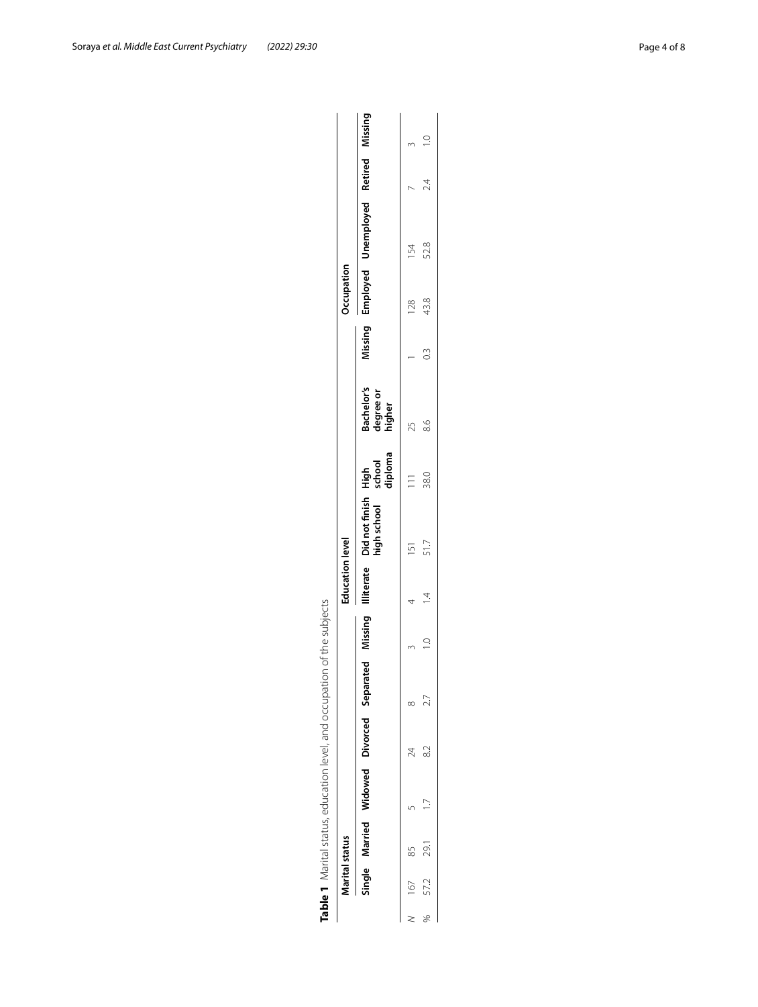|                                                                                       |                        |                                                                                                                               |     | 2.4           |
|---------------------------------------------------------------------------------------|------------------------|-------------------------------------------------------------------------------------------------------------------------------|-----|---------------|
|                                                                                       |                        | Missing Employed Unemployed Retired Missing                                                                                   | 54  | 52.8          |
|                                                                                       | Occupation             |                                                                                                                               | 128 | 43.8          |
|                                                                                       |                        |                                                                                                                               |     | $\frac{3}{2}$ |
|                                                                                       |                        | Bachelor's<br>degree or<br>higher                                                                                             |     | 8.6           |
| ion of the subjects<br><b>Table 1</b> Marital status, education level, and occupation | <b>Education level</b> |                                                                                                                               |     | 38.0          |
|                                                                                       |                        | Single Married Widowed Divorced Separated Missing Illiterate Didnot-finish High<br>high-school - school - school<br>- diploma |     | 51.7          |
|                                                                                       |                        |                                                                                                                               |     |               |
|                                                                                       |                        |                                                                                                                               |     |               |
|                                                                                       |                        |                                                                                                                               |     |               |
|                                                                                       |                        |                                                                                                                               | 24  | $\approx$     |
|                                                                                       |                        |                                                                                                                               |     |               |
|                                                                                       |                        |                                                                                                                               |     | 29.1          |
|                                                                                       | Marital status         |                                                                                                                               | 167 | 57.2          |
|                                                                                       |                        |                                                                                                                               |     |               |

<span id="page-3-0"></span>

| strating and and and contrating to a those interviews interviews.<br>)<br>)<br>) |  |
|----------------------------------------------------------------------------------|--|
|                                                                                  |  |
| J                                                                                |  |
|                                                                                  |  |
|                                                                                  |  |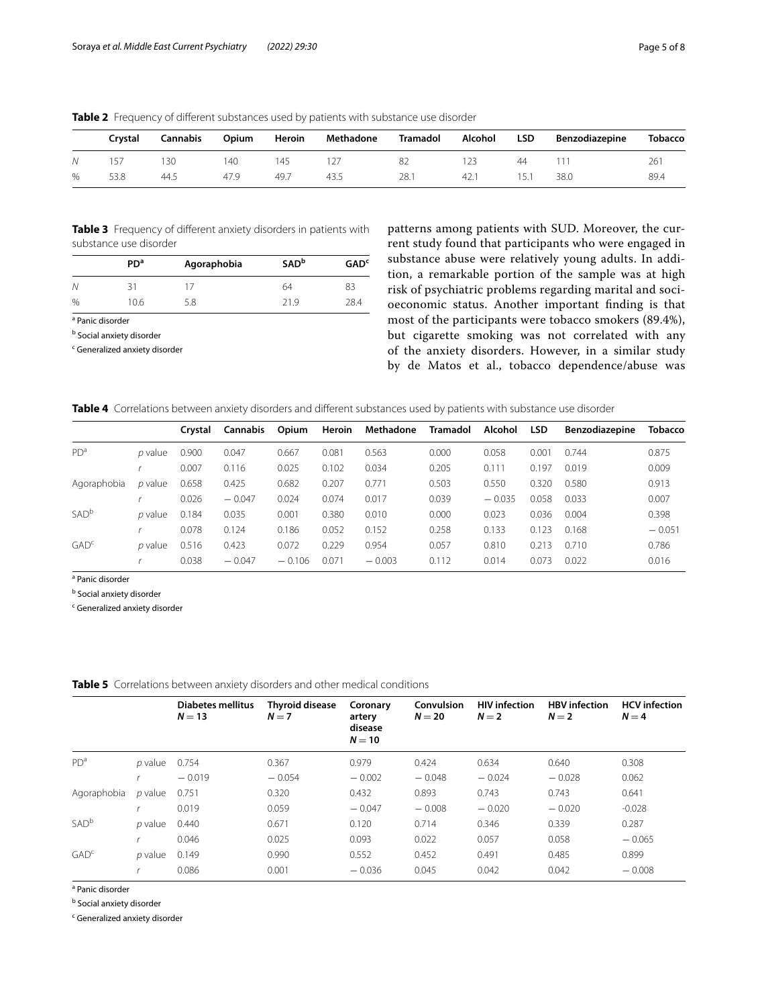|   | Crvstal | <b>Cannabis</b> | Opium | Heroin | Methadone | <b>Tramadol</b> | Alcohol | <b>LSD</b> | Benzodiazepine | <b>Tobacco</b> |
|---|---------|-----------------|-------|--------|-----------|-----------------|---------|------------|----------------|----------------|
|   | 157     | 130             | 140   | 145    |           | 82              |         | 44         |                | 261            |
| % | 53.8    | 44.5            | 47.9  | 49.7   | 43.5      | 28.1            | 42.1    | 15.1       | 38.0           | 89.4           |

<span id="page-4-0"></span>**Table 2** Frequency of different substances used by patients with substance use disorder

<span id="page-4-1"></span>**Table 3** Frequency of diferent anxiety disorders in patients with substance use disorder

|      | PD <sup>a</sup> | Agoraphobia | <b>SAD</b> <sup>b</sup> | GAD <sup>c</sup> |
|------|-----------------|-------------|-------------------------|------------------|
| N    |                 |             | 64                      | 83               |
| $\%$ | 10.6            | 5.8         | 21 9                    | 28.4             |

<sup>a</sup> Panic disorder

<sup>b</sup> Social anxiety disorder

<sup>c</sup> Generalized anxiety disorder

patterns among patients with SUD. Moreover, the current study found that participants who were engaged in substance abuse were relatively young adults. In addition, a remarkable portion of the sample was at high risk of psychiatric problems regarding marital and socioeconomic status. Another important fnding is that most of the participants were tobacco smokers (89.4%), but cigarette smoking was not correlated with any of the anxiety disorders. However, in a similar study by de Matos et al., tobacco dependence/abuse was

<span id="page-4-2"></span>

|  |  |  | Table 4 Correlations between anxiety disorders and different substances used by patients with substance use disorder |  |  |  |  |  |
|--|--|--|----------------------------------------------------------------------------------------------------------------------|--|--|--|--|--|
|--|--|--|----------------------------------------------------------------------------------------------------------------------|--|--|--|--|--|

|                  |                | Crystal | Cannabis | Opium    | Heroin | Methadone | Tramadol | Alcohol  | <b>LSD</b> | <b>Benzodiazepine</b> | <b>Tobacco</b> |
|------------------|----------------|---------|----------|----------|--------|-----------|----------|----------|------------|-----------------------|----------------|
| PD <sup>a</sup>  | p value        | 0.900   | 0.047    | 0.667    | 0.081  | 0.563     | 0.000    | 0.058    | 0.001      | 0.744                 | 0.875          |
|                  |                | 0.007   | 0.116    | 0.025    | 0.102  | 0.034     | 0.205    | 0.111    | 0.197      | 0.019                 | 0.009          |
| Agoraphobia      | p value        | 0.658   | 0.425    | 0.682    | 0.207  | 0.771     | 0.503    | 0.550    | 0.320      | 0.580                 | 0.913          |
|                  |                | 0.026   | $-0.047$ | 0.024    | 0.074  | 0.017     | 0.039    | $-0.035$ | 0.058      | 0.033                 | 0.007          |
| SAD <sup>b</sup> | <i>p</i> value | 0.184   | 0.035    | 0.001    | 0.380  | 0.010     | 0.000    | 0.023    | 0.036      | 0.004                 | 0.398          |
|                  |                | 0.078   | 0.124    | 0.186    | 0.052  | 0.152     | 0.258    | 0.133    | 0.123      | 0.168                 | $-0.051$       |
| GAD <sup>c</sup> | p value        | 0.516   | 0.423    | 0.072    | 0.229  | 0.954     | 0.057    | 0.810    | 0.213      | 0.710                 | 0.786          |
|                  |                | 0.038   | $-0.047$ | $-0.106$ | 0.071  | $-0.003$  | 0.112    | 0.014    | 0.073      | 0.022                 | 0.016          |

<sup>a</sup> Panic disorder

<sup>b</sup> Social anxiety disorder

<sup>c</sup> Generalized anxiety disorder

<span id="page-4-3"></span>

|                  |         | Diabetes mellitus<br>$N = 13$ | <b>Thyroid disease</b><br>$N = 7$ | Coronary<br>artery<br>disease<br>$N = 10$ | Convulsion<br>$N=20$ | <b>HIV</b> infection<br>$N=2$ | <b>HBV</b> infection<br>$N=2$ | <b>HCV</b> infection<br>$N = 4$ |
|------------------|---------|-------------------------------|-----------------------------------|-------------------------------------------|----------------------|-------------------------------|-------------------------------|---------------------------------|
| PD <sup>a</sup>  | p value | 0.754                         | 0.367                             | 0.979                                     | 0.424                | 0.634                         | 0.640                         | 0.308                           |
|                  |         | $-0.019$                      | $-0.054$                          | $-0.002$                                  | $-0.048$             | $-0.024$                      | $-0.028$                      | 0.062                           |
| Agoraphobia      | p value | 0.751                         | 0.320                             | 0.432                                     | 0.893                | 0.743                         | 0.743                         | 0.641                           |
|                  |         | 0.019                         | 0.059                             | $-0.047$                                  | $-0.008$             | $-0.020$                      | $-0.020$                      | $-0.028$                        |
| SAD <sup>b</sup> | p value | 0.440                         | 0.671                             | 0.120                                     | 0.714                | 0.346                         | 0.339                         | 0.287                           |
|                  |         | 0.046                         | 0.025                             | 0.093                                     | 0.022                | 0.057                         | 0.058                         | $-0.065$                        |
| GAD <sup>c</sup> | p value | 0.149                         | 0.990                             | 0.552                                     | 0.452                | 0.491                         | 0.485                         | 0.899                           |
|                  |         | 0.086                         | 0.001                             | $-0.036$                                  | 0.045                | 0.042                         | 0.042                         | $-0.008$                        |

<sup>a</sup> Panic disorder

<sup>b</sup> Social anxiety disorder

<sup>c</sup> Generalized anxiety disorder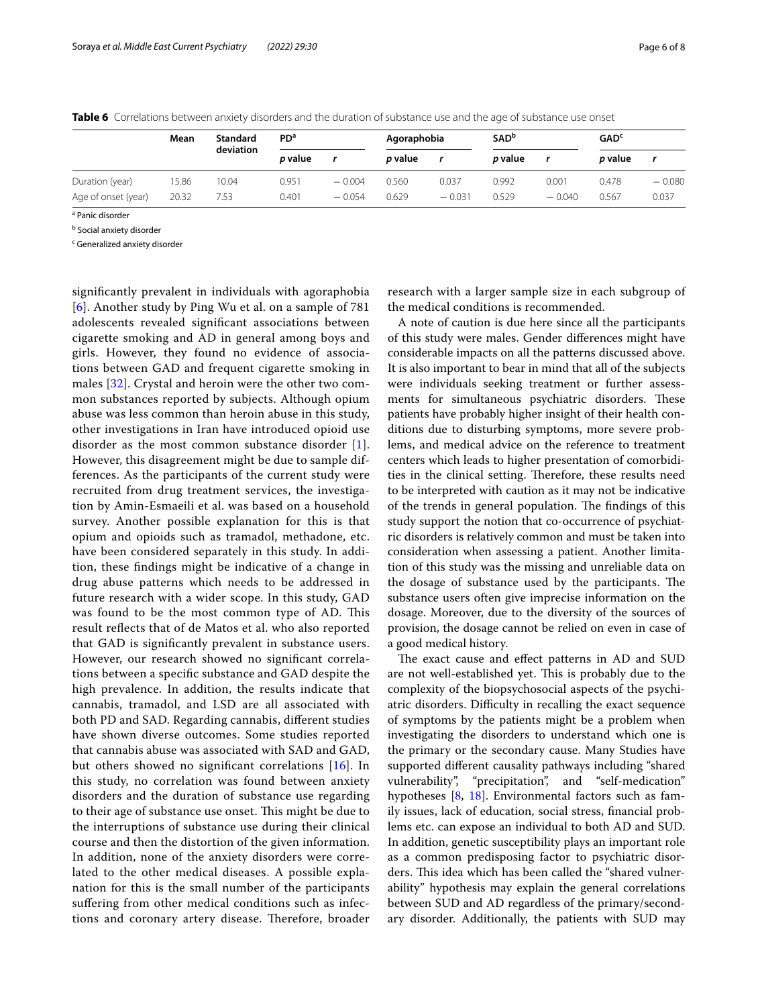|                     | Mean  | <b>Standard</b> | <b>PD<sup>a</sup></b> |          | Agoraphobia    |          | <b>SAD</b> <sup>b</sup> |          | <b>GAD<sup>c</sup></b> |          |
|---------------------|-------|-----------------|-----------------------|----------|----------------|----------|-------------------------|----------|------------------------|----------|
|                     |       | deviation       | <i>p</i> value        |          | <i>p</i> value |          | p value                 |          | p value                |          |
| Duration (year)     | 15.86 | 10.04           | 0.951                 | $-0.004$ | 0.560          | 0.037    | 0.992                   | 0.001    | 0.478                  | $-0.080$ |
| Age of onset (year) | 20.32 | 7.53            | 0.401                 | $-0.054$ | 0.629          | $-0.031$ | 0.529                   | $-0.040$ | 0.567                  | 0.037    |

<span id="page-5-0"></span>**Table 6** Correlations between anxiety disorders and the duration of substance use and the age of substance use onset

<sup>a</sup> Panic disorder

<sup>b</sup> Social anxiety disorder

<sup>c</sup> Generalized anxiety disorder

signifcantly prevalent in individuals with agoraphobia [[6](#page-7-19)]. Another study by Ping Wu et al. on a sample of 781 adolescents revealed signifcant associations between cigarette smoking and AD in general among boys and girls. However, they found no evidence of associations between GAD and frequent cigarette smoking in males [[32\]](#page-7-25). Crystal and heroin were the other two common substances reported by subjects. Although opium abuse was less common than heroin abuse in this study, other investigations in Iran have introduced opioid use disorder as the most common substance disorder [[1\]](#page-6-3). However, this disagreement might be due to sample differences. As the participants of the current study were recruited from drug treatment services, the investigation by Amin-Esmaeili et al. was based on a household survey. Another possible explanation for this is that opium and opioids such as tramadol, methadone, etc. have been considered separately in this study. In addition, these fndings might be indicative of a change in drug abuse patterns which needs to be addressed in future research with a wider scope. In this study, GAD was found to be the most common type of AD. This result refects that of de Matos et al. who also reported that GAD is signifcantly prevalent in substance users. However, our research showed no signifcant correlations between a specifc substance and GAD despite the high prevalence. In addition, the results indicate that cannabis, tramadol, and LSD are all associated with both PD and SAD. Regarding cannabis, diferent studies have shown diverse outcomes. Some studies reported that cannabis abuse was associated with SAD and GAD, but others showed no signifcant correlations [[16\]](#page-7-26). In this study, no correlation was found between anxiety disorders and the duration of substance use regarding to their age of substance use onset. This might be due to the interruptions of substance use during their clinical course and then the distortion of the given information. In addition, none of the anxiety disorders were correlated to the other medical diseases. A possible explanation for this is the small number of the participants sufering from other medical conditions such as infections and coronary artery disease. Therefore, broader research with a larger sample size in each subgroup of the medical conditions is recommended.

A note of caution is due here since all the participants of this study were males. Gender diferences might have considerable impacts on all the patterns discussed above. It is also important to bear in mind that all of the subjects were individuals seeking treatment or further assessments for simultaneous psychiatric disorders. These patients have probably higher insight of their health conditions due to disturbing symptoms, more severe problems, and medical advice on the reference to treatment centers which leads to higher presentation of comorbidities in the clinical setting. Therefore, these results need to be interpreted with caution as it may not be indicative of the trends in general population. The findings of this study support the notion that co-occurrence of psychiatric disorders is relatively common and must be taken into consideration when assessing a patient. Another limitation of this study was the missing and unreliable data on the dosage of substance used by the participants. The substance users often give imprecise information on the dosage. Moreover, due to the diversity of the sources of provision, the dosage cannot be relied on even in case of a good medical history.

The exact cause and effect patterns in AD and SUD are not well-established yet. This is probably due to the complexity of the biopsychosocial aspects of the psychiatric disorders. Difficulty in recalling the exact sequence of symptoms by the patients might be a problem when investigating the disorders to understand which one is the primary or the secondary cause. Many Studies have supported diferent causality pathways including "shared vulnerability", "precipitation", and "self-medication" hypotheses [[8](#page-7-27), [18](#page-7-18)]. Environmental factors such as family issues, lack of education, social stress, fnancial problems etc. can expose an individual to both AD and SUD. In addition, genetic susceptibility plays an important role as a common predisposing factor to psychiatric disorders. This idea which has been called the "shared vulnerability" hypothesis may explain the general correlations between SUD and AD regardless of the primary/secondary disorder. Additionally, the patients with SUD may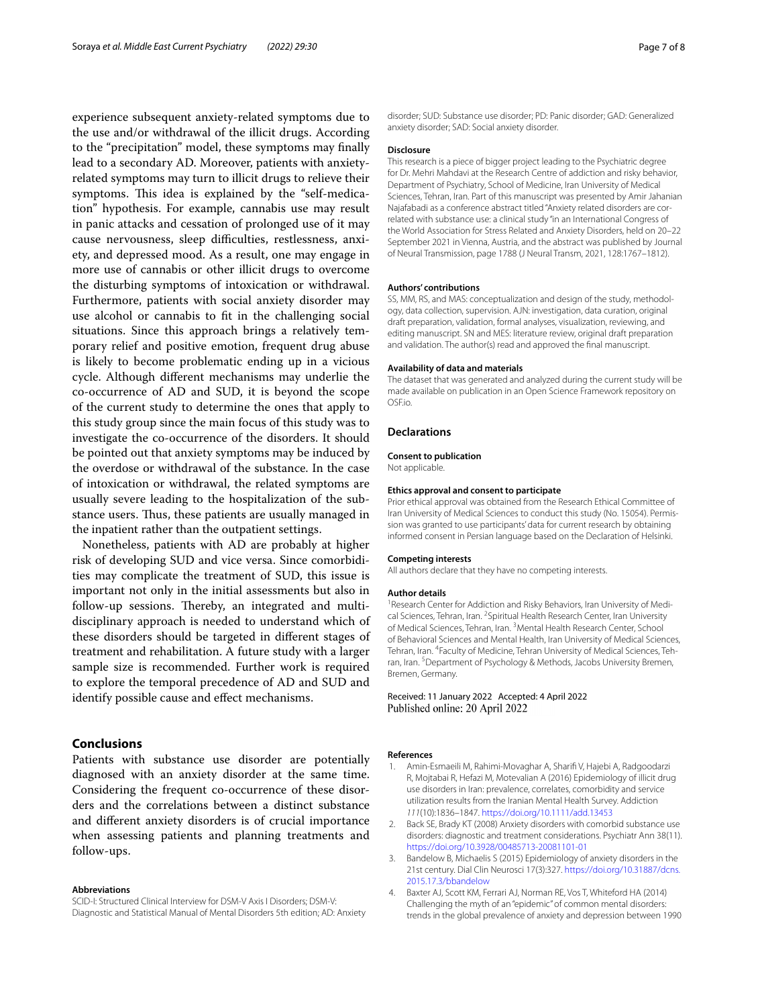experience subsequent anxiety-related symptoms due to the use and/or withdrawal of the illicit drugs. According to the "precipitation" model, these symptoms may fnally lead to a secondary AD. Moreover, patients with anxietyrelated symptoms may turn to illicit drugs to relieve their symptoms. This idea is explained by the "self-medication" hypothesis. For example, cannabis use may result in panic attacks and cessation of prolonged use of it may cause nervousness, sleep difficulties, restlessness, anxiety, and depressed mood. As a result, one may engage in more use of cannabis or other illicit drugs to overcome the disturbing symptoms of intoxication or withdrawal. Furthermore, patients with social anxiety disorder may use alcohol or cannabis to ft in the challenging social situations. Since this approach brings a relatively temporary relief and positive emotion, frequent drug abuse is likely to become problematic ending up in a vicious cycle. Although diferent mechanisms may underlie the co-occurrence of AD and SUD, it is beyond the scope of the current study to determine the ones that apply to this study group since the main focus of this study was to investigate the co-occurrence of the disorders. It should be pointed out that anxiety symptoms may be induced by the overdose or withdrawal of the substance. In the case of intoxication or withdrawal, the related symptoms are usually severe leading to the hospitalization of the substance users. Thus, these patients are usually managed in the inpatient rather than the outpatient settings.

Nonetheless, patients with AD are probably at higher risk of developing SUD and vice versa. Since comorbidities may complicate the treatment of SUD, this issue is important not only in the initial assessments but also in follow-up sessions. Thereby, an integrated and multidisciplinary approach is needed to understand which of these disorders should be targeted in diferent stages of treatment and rehabilitation. A future study with a larger sample size is recommended. Further work is required to explore the temporal precedence of AD and SUD and identify possible cause and efect mechanisms.

## **Conclusions**

Patients with substance use disorder are potentially diagnosed with an anxiety disorder at the same time. Considering the frequent co-occurrence of these disorders and the correlations between a distinct substance and diferent anxiety disorders is of crucial importance when assessing patients and planning treatments and follow-ups.

#### **Abbreviations**

SCID-I: Structured Clinical Interview for DSM-V Axis I Disorders; DSM-V: Diagnostic and Statistical Manual of Mental Disorders 5th edition; AD: Anxiety disorder; SUD: Substance use disorder; PD: Panic disorder; GAD: Generalized anxiety disorder; SAD: Social anxiety disorder.

#### **Disclosure**

This research is a piece of bigger project leading to the Psychiatric degree for Dr. Mehri Mahdavi at the Research Centre of addiction and risky behavior, Department of Psychiatry, School of Medicine, Iran University of Medical Sciences, Tehran, Iran. Part of this manuscript was presented by Amir Jahanian Najafabadi as a conference abstract titled "Anxiety related disorders are correlated with substance use: a clinical study "in an International Congress of the World Association for Stress Related and Anxiety Disorders, held on 20–22 September 2021 in Vienna, Austria, and the abstract was published by Journal of Neural Transmission, page 1788 (J Neural Transm, 2021, 128:1767–1812).

#### **Authors' contributions**

SS, MM, RS, and MAS: conceptualization and design of the study, methodology, data collection, supervision. AJN: investigation, data curation, original draft preparation, validation, formal analyses, visualization, reviewing, and editing manuscript. SN and MES: literature review, original draft preparation and validation. The author(s) read and approved the fnal manuscript.

#### **Availability of data and materials**

The dataset that was generated and analyzed during the current study will be made available on publication in an Open Science Framework repository on OSF.io.

#### **Declarations**

#### **Consent to publication**

Not applicable.

#### **Ethics approval and consent to participate**

Prior ethical approval was obtained from the Research Ethical Committee of Iran University of Medical Sciences to conduct this study (No. 15054). Permission was granted to use participants' data for current research by obtaining informed consent in Persian language based on the Declaration of Helsinki.

#### **Competing interests**

All authors declare that they have no competing interests.

#### **Author details**

<sup>1</sup> Research Center for Addiction and Risky Behaviors, Iran University of Medical Sciences, Tehran, Iran. <sup>2</sup>Spiritual Health Research Center, Iran University of Medical Sciences, Tehran, Iran. <sup>3</sup> Mental Health Research Center, School of Behavioral Sciences and Mental Health, Iran University of Medical Sciences, Tehran, Iran. <sup>4</sup> Faculty of Medicine, Tehran University of Medical Sciences, Tehran, Iran.<sup>5</sup> Department of Psychology & Methods, Jacobs University Bremen, Bremen, Germany.

Received: 11 January 2022 Accepted: 4 April 2022 Published online: 20 April 2022

### **References**

- <span id="page-6-3"></span>1. Amin-Esmaeili M, Rahimi-Movaghar A, Sharif V, Hajebi A, Radgoodarzi R, Mojtabai R, Hefazi M, Motevalian A (2016) Epidemiology of illicit drug use disorders in Iran: prevalence, correlates, comorbidity and service utilization results from the Iranian Mental Health Survey. Addiction *111*(10):1836–1847. <https://doi.org/10.1111/add.13453>
- <span id="page-6-2"></span>2. Back SE, Brady KT (2008) Anxiety disorders with comorbid substance use disorders: diagnostic and treatment considerations. Psychiatr Ann 38(11). <https://doi.org/10.3928/00485713-20081101-01>
- <span id="page-6-1"></span>3. Bandelow B, Michaelis S (2015) Epidemiology of anxiety disorders in the 21st century. Dial Clin Neurosci 17(3):327. [https://doi.org/10.31887/dcns.](https://doi.org/10.31887/dcns.2015.17.3/bbandelow) [2015.17.3/bbandelow](https://doi.org/10.31887/dcns.2015.17.3/bbandelow)
- <span id="page-6-0"></span>4. Baxter AJ, Scott KM, Ferrari AJ, Norman RE, Vos T, Whiteford HA (2014) Challenging the myth of an "epidemic" of common mental disorders: trends in the global prevalence of anxiety and depression between 1990